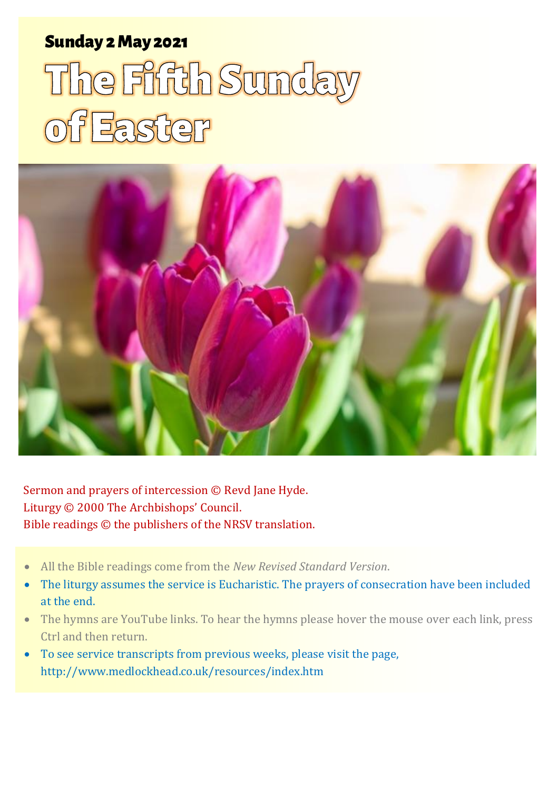# Sunday 2 May 2021 1 The Fifth Sunday of Easter Sunday 2 May 2021

# The Firth Sunda of Easter



Sermon and prayers of intercession © Revd Jane Hyde. Liturgy © 2000 The Archbishops' Council. Bible readings © the publishers of the NRSV translation.

- All the Bible readings come from the *New Revised Standard Version*.
- The liturgy assumes the service is Eucharistic. The prayers of consecration have been included at the end.
- The hymns are YouTube links. To hear the hymns please hover the mouse over each link, press Ctrl and then return.
- To see service transcripts from previous weeks, please visit the page, <http://www.medlockhead.co.uk/resources/index.htm>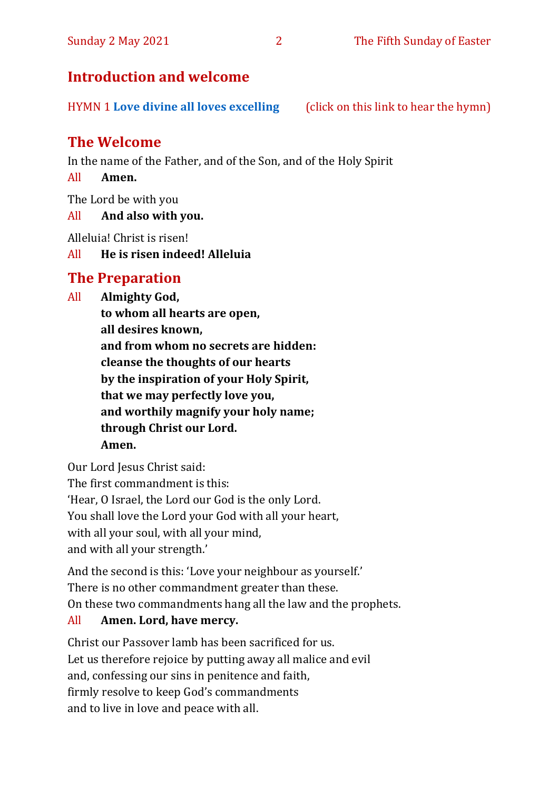# **Introduction and welcome**

HYMN 1 **[Love divine all loves excelling](https://youtu.be/jPsxqQsnzJA)** (click on this link to hear the hymn)

# **The Welcome**

In the name of the Father, and of the Son, and of the Holy Spirit

All **Amen.**

The Lord be with you

All **And also with you.**

Alleluia! Christ is risen!

All **He is risen indeed! Alleluia**

# **The Preparation**

All **Almighty God, to whom all hearts are open, all desires known, and from whom no secrets are hidden: cleanse the thoughts of our hearts by the inspiration of your Holy Spirit, that we may perfectly love you, and worthily magnify your holy name; through Christ our Lord. Amen.**

Our Lord Jesus Christ said: The first commandment is this: 'Hear, O Israel, the Lord our God is the only Lord. You shall love the Lord your God with all your heart, with all your soul, with all your mind, and with all your strength.'

And the second is this: 'Love your neighbour as yourself.' There is no other commandment greater than these. On these two commandments hang all the law and the prophets.

#### All **Amen. Lord, have mercy.**

Christ our Passover lamb has been sacrificed for us. Let us therefore rejoice by putting away all malice and evil and, confessing our sins in penitence and faith, firmly resolve to keep God's commandments and to live in love and peace with all.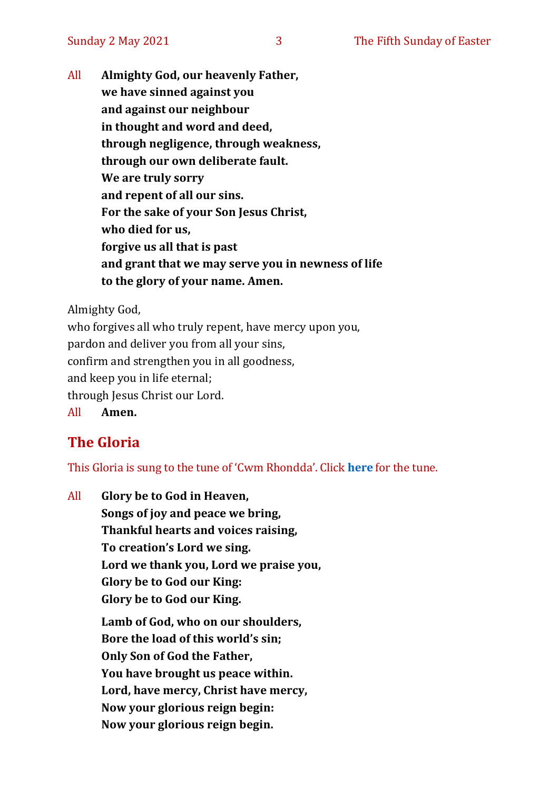All **Almighty God, our heavenly Father, we have sinned against you and against our neighbour in thought and word and deed, through negligence, through weakness, through our own deliberate fault. We are truly sorry and repent of all our sins. For the sake of your Son Jesus Christ, who died for us, forgive us all that is past and grant that we may serve you in newness of life to the glory of your name. Amen.**

Almighty God,

who forgives all who truly repent, have mercy upon you, pardon and deliver you from all your sins, confirm and strengthen you in all goodness, and keep you in life eternal; through Jesus Christ our Lord. All **Amen.**

# **The Gloria**

This Gloria is sung to the tune of 'Cwm Rhondda'. Click **[here](about:blank)** for the tune.

All **Glory be to God in Heaven, Songs of joy and peace we bring, Thankful hearts and voices raising, To creation's Lord we sing. Lord we thank you, Lord we praise you, Glory be to God our King: Glory be to God our King.**

> **Lamb of God, who on our shoulders, Bore the load of this world's sin; Only Son of God the Father, You have brought us peace within. Lord, have mercy, Christ have mercy, Now your glorious reign begin: Now your glorious reign begin.**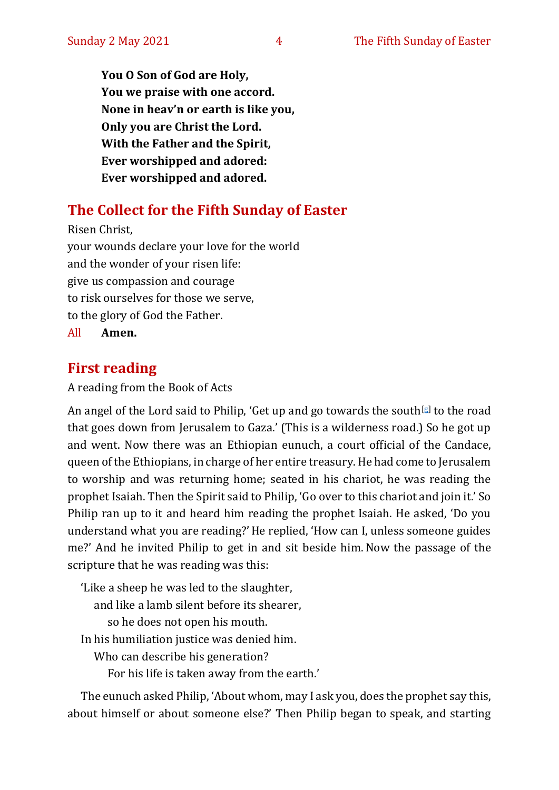**You O Son of God are Holy, You we praise with one accord. None in heav'n or earth is like you, Only you are Christ the Lord. With the Father and the Spirit, Ever worshipped and adored: Ever worshipped and adored.**

# **The Collect for the Fifth Sunday of Easter**

Risen Christ, your wounds declare your love for the world and the wonder of your risen life: give us compassion and courage to risk ourselves for those we serve, to the glory of God the Father. All **Amen.**

# **First reading**

#### A reading from the Book of Acts

An angel of the Lord said to Philip, 'Get up and go towards the south[\[g\]](https://www.biblegateway.com/passage/?search=Acts%208&version=NRSVA#fen-NRSVA-27192g) to the road that goes down from Jerusalem to Gaza.' (This is a wilderness road.) So he got up and went. Now there was an Ethiopian eunuch, a court official of the Candace, queen of the Ethiopians, in charge of her entire treasury. He had come to Jerusalem to worship and was returning home; seated in his chariot, he was reading the prophet Isaiah. Then the Spirit said to Philip, 'Go over to this chariot and join it.' So Philip ran up to it and heard him reading the prophet Isaiah. He asked, 'Do you understand what you are reading?'He replied, 'How can I, unless someone guides me?' And he invited Philip to get in and sit beside him. Now the passage of the scripture that he was reading was this:

'Like a sheep he was led to the slaughter,

and like a lamb silent before its shearer,

so he does not open his mouth.

In his humiliation justice was denied him.

Who can describe his generation?

For his life is taken away from the earth.'

The eunuch asked Philip, 'About whom, may I ask you, does the prophet say this, about himself or about someone else?' Then Philip began to speak, and starting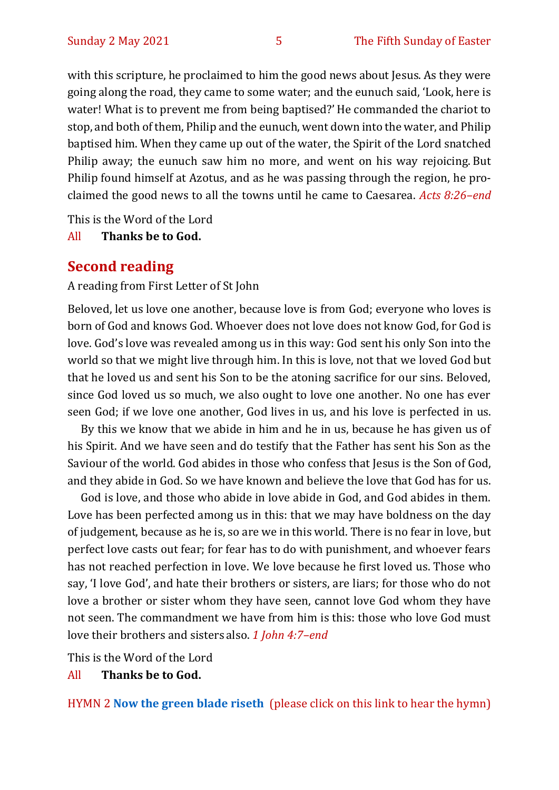with this scripture, he proclaimed to him the good news about Jesus. As they were going along the road, they came to some water; and the eunuch said, 'Look, here is water! What is to prevent me from being baptised?' He commanded the chariot to stop, and both of them, Philip and the eunuch, went down into the water, and Philip baptised him. When they came up out of the water, the Spirit of the Lord snatched Philip away; the eunuch saw him no more, and went on his way rejoicing. But Philip found himself at Azotus, and as he was passing through the region, he proclaimed the good news to all the towns until he came to Caesarea. *Acts 8:26–end*

This is the Word of the Lord

All **Thanks be to God.**

#### **Second reading**

A reading from First Letter of St John

Beloved, let us love one another, because love is from God; everyone who loves is born of God and knows God. Whoever does not love does not know God, for God is love. God's love was revealed among us in this way: God sent his only Son into the world so that we might live through him. In this is love, not that we loved God but that he loved us and sent his Son to be the atoning sacrifice for our sins. Beloved, since God loved us so much, we also ought to love one another. No one has ever seen God; if we love one another, God lives in us, and his love is perfected in us.

By this we know that we abide in him and he in us, because he has given us of his Spirit. And we have seen and do testify that the Father has sent his Son as the Saviour of the world. God abides in those who confess that Jesus is the Son of God, and they abide in God. So we have known and believe the love that God has for us.

God is love, and those who abide in love abide in God, and God abides in them. Love has been perfected among us in this: that we may have boldness on the day of judgement, because as he is, so are we in this world. There is no fear in love, but perfect love casts out fear; for fear has to do with punishment, and whoever fears has not reached perfection in love. We love because he first loved us. Those who say, 'I love God', and hate their brothers or sisters, are liars; for those who do not love a brother or sister whom they have seen, cannot love God whom they have not seen. The commandment we have from him is this: those who love God must love their brothers and sisters also. *1 John 4:7–end*

This is the Word of the Lord

All **Thanks be to God.**

HYMN 2 **[Now the green blade riseth](https://youtu.be/UVduV0ustWw)** (please click on this link to hear the hymn)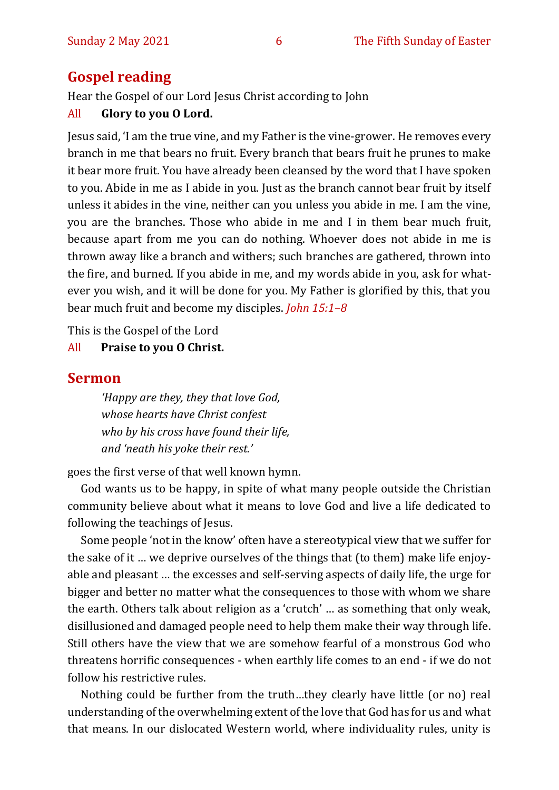# **Gospel reading**

Hear the Gospel of our Lord Jesus Christ according to John

#### All **Glory to you O Lord.**

Jesus said, 'I am the true vine, and my Father is the vine-grower. He removes every branch in me that bears no fruit. Every branch that bears fruit he prunes to make it bear more fruit. You have already been cleansed by the word that I have spoken to you. Abide in me as I abide in you. Just as the branch cannot bear fruit by itself unless it abides in the vine, neither can you unless you abide in me. I am the vine, you are the branches. Those who abide in me and I in them bear much fruit, because apart from me you can do nothing. Whoever does not abide in me is thrown away like a branch and withers; such branches are gathered, thrown into the fire, and burned. If you abide in me, and my words abide in you, ask for whatever you wish, and it will be done for you. My Father is glorified by this, that you bear much fruit and become my disciples. *John 15:1–8*

This is the Gospel of the Lord

#### All **Praise to you O Christ.**

#### **Sermon**

*'Happy are they, they that love God, whose hearts have Christ confest who by his cross have found their life, and 'neath his yoke their rest.'* 

goes the first verse of that well known hymn.

God wants us to be happy, in spite of what many people outside the Christian community believe about what it means to love God and live a life dedicated to following the teachings of Jesus.

Some people 'not in the know' often have a stereotypical view that we suffer for the sake of it … we deprive ourselves of the things that (to them) make life enjoyable and pleasant … the excesses and self-serving aspects of daily life, the urge for bigger and better no matter what the consequences to those with whom we share the earth. Others talk about religion as a 'crutch' … as something that only weak, disillusioned and damaged people need to help them make their way through life. Still others have the view that we are somehow fearful of a monstrous God who threatens horrific consequences - when earthly life comes to an end - if we do not follow his restrictive rules.

Nothing could be further from the truth…they clearly have little (or no) real understanding of the overwhelming extent of the love that God has for us and what that means. In our dislocated Western world, where individuality rules, unity is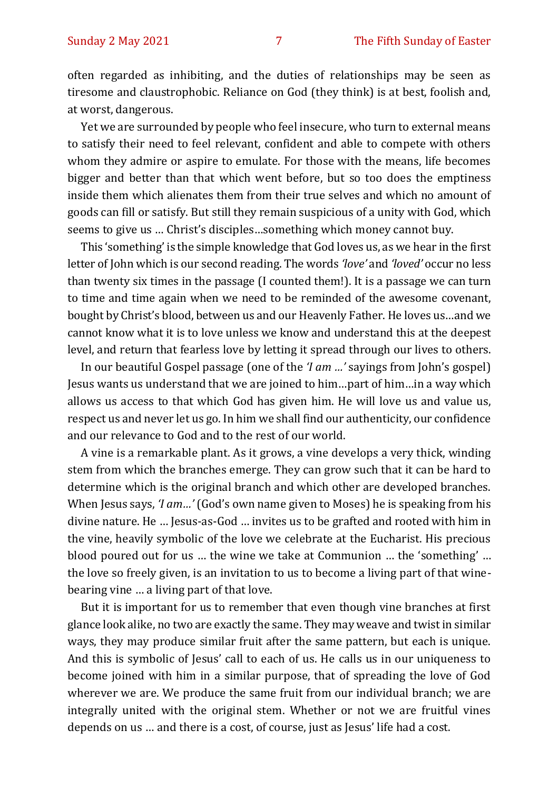often regarded as inhibiting, and the duties of relationships may be seen as tiresome and claustrophobic. Reliance on God (they think) is at best, foolish and, at worst, dangerous.

Yet we are surrounded by people who feel insecure, who turn to external means to satisfy their need to feel relevant, confident and able to compete with others whom they admire or aspire to emulate. For those with the means, life becomes bigger and better than that which went before, but so too does the emptiness inside them which alienates them from their true selves and which no amount of goods can fill or satisfy. But still they remain suspicious of a unity with God, which seems to give us … Christ's disciples…something which money cannot buy.

This 'something' is the simple knowledge that God loves us, as we hear in the first letter of John which is our second reading. The words *'love'* and *'loved'* occur no less than twenty six times in the passage (I counted them!). It is a passage we can turn to time and time again when we need to be reminded of the awesome covenant, bought by Christ's blood, between us and our Heavenly Father. He loves us…and we cannot know what it is to love unless we know and understand this at the deepest level, and return that fearless love by letting it spread through our lives to others.

In our beautiful Gospel passage (one of the *'I am …'* sayings from John's gospel) Jesus wants us understand that we are joined to him…part of him…in a way which allows us access to that which God has given him. He will love us and value us, respect us and never let us go. In him we shall find our authenticity, our confidence and our relevance to God and to the rest of our world.

A vine is a remarkable plant. As it grows, a vine develops a very thick, winding stem from which the branches emerge. They can grow such that it can be hard to determine which is the original branch and which other are developed branches. When Jesus says, *'I am…'* (God's own name given to Moses) he is speaking from his divine nature. He … Jesus-as-God … invites us to be grafted and rooted with him in the vine, heavily symbolic of the love we celebrate at the Eucharist. His precious blood poured out for us … the wine we take at Communion … the 'something' … the love so freely given, is an invitation to us to become a living part of that winebearing vine … a living part of that love.

But it is important for us to remember that even though vine branches at first glance look alike, no two are exactly the same. They may weave and twist in similar ways, they may produce similar fruit after the same pattern, but each is unique. And this is symbolic of Jesus' call to each of us. He calls us in our uniqueness to become joined with him in a similar purpose, that of spreading the love of God wherever we are. We produce the same fruit from our individual branch; we are integrally united with the original stem. Whether or not we are fruitful vines depends on us … and there is a cost, of course, just as Jesus' life had a cost.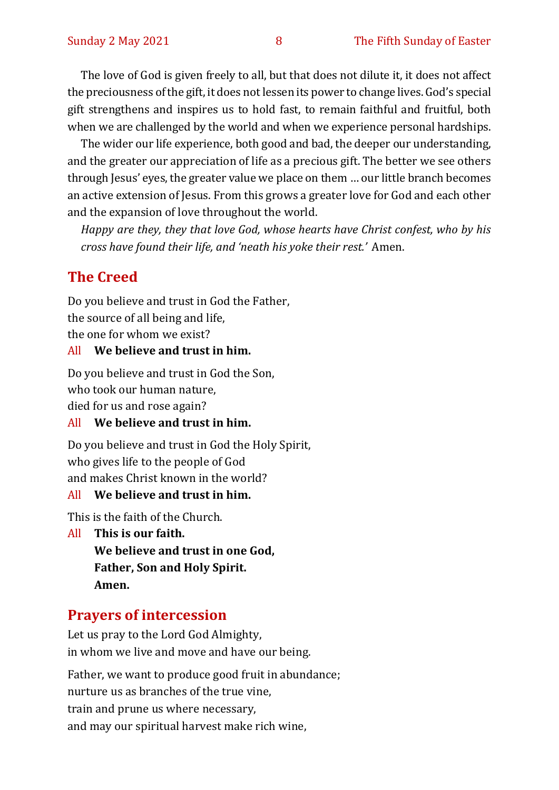The love of God is given freely to all, but that does not dilute it, it does not affect the preciousness of the gift, it does not lessen its power to change lives. God's special gift strengthens and inspires us to hold fast, to remain faithful and fruitful, both when we are challenged by the world and when we experience personal hardships.

The wider our life experience, both good and bad, the deeper our understanding, and the greater our appreciation of life as a precious gift. The better we see others through Jesus' eyes, the greater value we place on them … our little branch becomes an active extension of Jesus. From this grows a greater love for God and each other and the expansion of love throughout the world.

*Happy are they, they that love God, whose hearts have Christ confest, who by his cross have found their life, and 'neath his yoke their rest.'* Amen.

# **The Creed**

Do you believe and trust in God the Father, the source of all being and life, the one for whom we exist?

#### All **We believe and trust in him.**

Do you believe and trust in God the Son, who took our human nature, died for us and rose again?

#### All **We believe and trust in him.**

Do you believe and trust in God the Holy Spirit, who gives life to the people of God and makes Christ known in the world?

#### All **We believe and trust in him.**

This is the faith of the Church.

All **This is our faith. We believe and trust in one God, Father, Son and Holy Spirit. Amen.**

## **Prayers of intercession**

Let us pray to the Lord God Almighty, in whom we live and move and have our being.

Father, we want to produce good fruit in abundance; nurture us as branches of the true vine, train and prune us where necessary, and may our spiritual harvest make rich wine,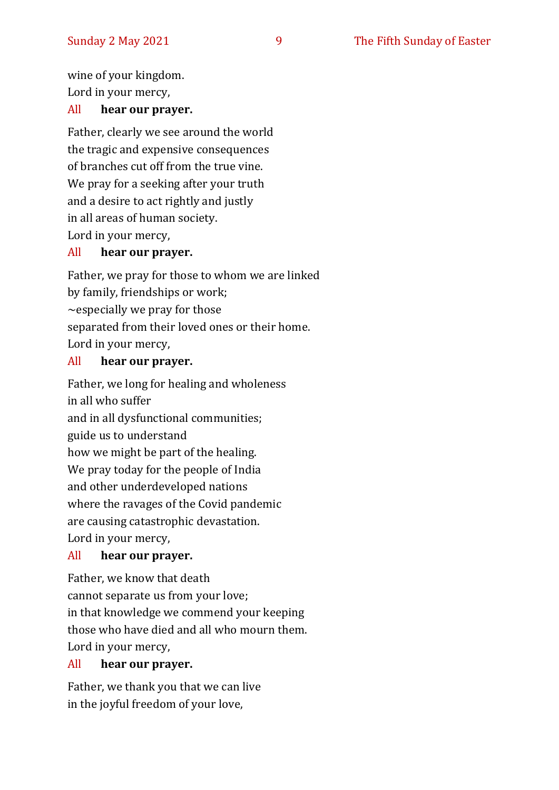wine of your kingdom. Lord in your mercy,

#### All **hear our prayer.**

Father, clearly we see around the world the tragic and expensive consequences of branches cut off from the true vine. We pray for a seeking after your truth and a desire to act rightly and justly in all areas of human society. Lord in your mercy,

#### All **hear our prayer.**

Father, we pray for those to whom we are linked by family, friendships or work;  $\sim$ especially we pray for those separated from their loved ones or their home. Lord in your mercy,

#### All **hear our prayer.**

Father, we long for healing and wholeness in all who suffer and in all dysfunctional communities; guide us to understand how we might be part of the healing. We pray today for the people of India and other underdeveloped nations where the ravages of the Covid pandemic are causing catastrophic devastation. Lord in your mercy,

#### All **hear our prayer.**

Father, we know that death cannot separate us from your love; in that knowledge we commend your keeping those who have died and all who mourn them. Lord in your mercy,

#### All **hear our prayer.**

Father, we thank you that we can live in the joyful freedom of your love,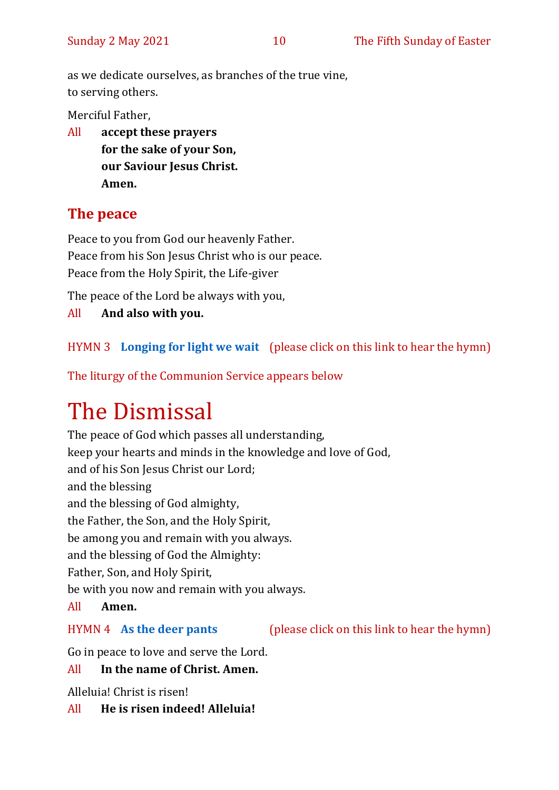as we dedicate ourselves, as branches of the true vine, to serving others.

Merciful Father,

All **accept these prayers for the sake of your Son, our Saviour Jesus Christ. Amen.**

# **The peace**

Peace to you from God our heavenly Father. Peace from his Son Jesus Christ who is our peace. Peace from the Holy Spirit, the Life-giver

The peace of the Lord be always with you,

All **And also with you.**

## HYMN 3 **[Longing for light we wait](https://youtu.be/ZJq3bhdgQoc)** (please click on this link to hear the hymn)

The liturgy of the Communion Service appears below

# The Dismissal

The peace of God which passes all understanding, keep your hearts and minds in the knowledge and love of God, and of his Son Jesus Christ our Lord; and the blessing and the blessing of God almighty, the Father, the Son, and the Holy Spirit, be among you and remain with you always. and the blessing of God the Almighty: Father, Son, and Holy Spirit, be with you now and remain with you always. All **Amen.**

#### HYMN 4 **[As the deer pants](https://youtu.be/peZudXt9faU)** (please click on this link to hear the hymn)

Go in peace to love and serve the Lord.

#### All **In the name of Christ. Amen.**

Alleluia! Christ is risen!

All **He is risen indeed! Alleluia!**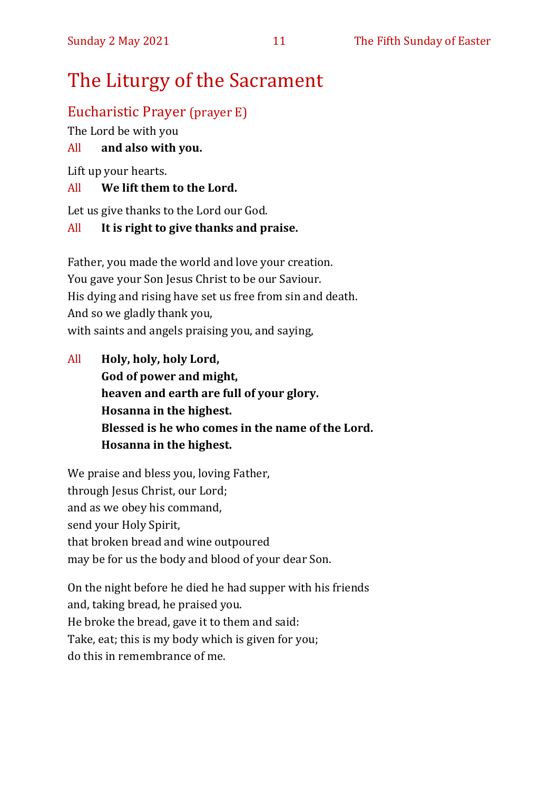# The Liturgy of the Sacrament

# Eucharistic Prayer (prayer E)

The Lord be with you

# All **and also with you.**

Lift up your hearts.

# All **We lift them to the Lord.**

Let us give thanks to the Lord our God.

# All **It is right to give thanks and praise.**

Father, you made the world and love your creation. You gave your Son Jesus Christ to be our Saviour. His dying and rising have set us free from sin and death. And so we gladly thank you, with saints and angels praising you, and saying,

All **Holy, holy, holy Lord, God of power and might, heaven and earth are full of your glory. Hosanna in the highest. Blessed is he who comes in the name of the Lord. Hosanna in the highest.**

We praise and bless you, loving Father, through Jesus Christ, our Lord; and as we obey his command, send your Holy Spirit, that broken bread and wine outpoured may be for us the body and blood of your dear Son.

On the night before he died he had supper with his friends and, taking bread, he praised you. He broke the bread, gave it to them and said: Take, eat; this is my body which is given for you; do this in remembrance of me.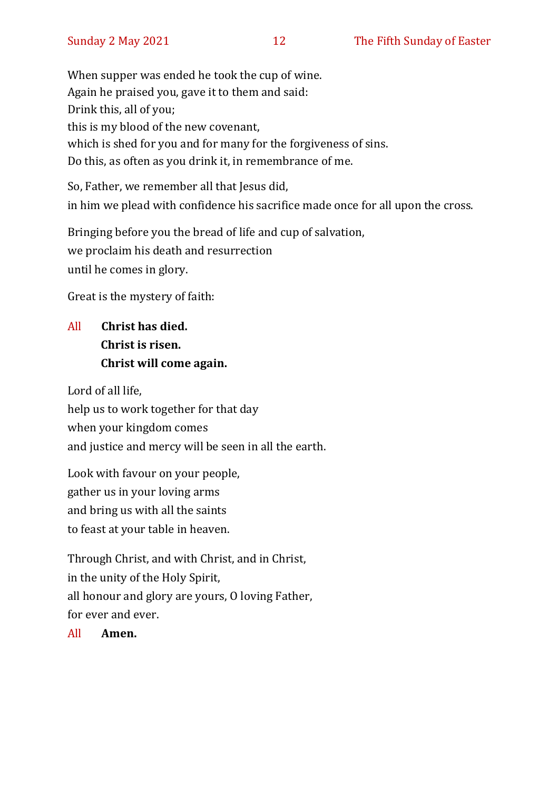When supper was ended he took the cup of wine. Again he praised you, gave it to them and said: Drink this, all of you; this is my blood of the new covenant, which is shed for you and for many for the forgiveness of sins. Do this, as often as you drink it, in remembrance of me.

So, Father, we remember all that Jesus did, in him we plead with confidence his sacrifice made once for all upon the cross.

Bringing before you the bread of life and cup of salvation, we proclaim his death and resurrection until he comes in glory.

Great is the mystery of faith:

# All **Christ has died. Christ is risen. Christ will come again.**

Lord of all life, help us to work together for that day when your kingdom comes and justice and mercy will be seen in all the earth.

Look with favour on your people, gather us in your loving arms and bring us with all the saints to feast at your table in heaven.

Through Christ, and with Christ, and in Christ, in the unity of the Holy Spirit, all honour and glory are yours, O loving Father, for ever and ever.

All **Amen.**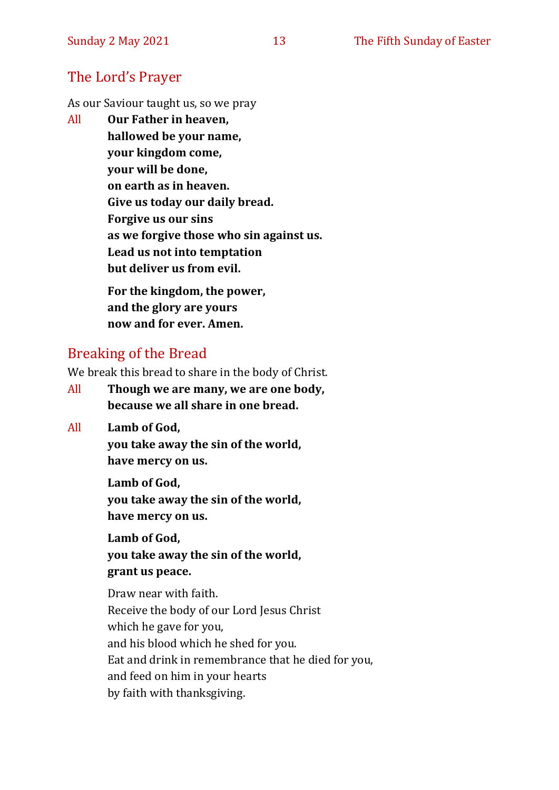## The Lord's Prayer

As our Saviour taught us, so we pray

All **Our Father in heaven, hallowed be your name, your kingdom come, your will be done, on earth as in heaven. Give us today our daily bread. Forgive us our sins as we forgive those who sin against us. Lead us not into temptation but deliver us from evil. For the kingdom, the power,** 

**and the glory are yours now and for ever. Amen.**

# Breaking of the Bread

We break this bread to share in the body of Christ.

- All **Though we are many, we are one body, because we all share in one bread.**
- All **Lamb of God,**

**you take away the sin of the world, have mercy on us.**

**Lamb of God, you take away the sin of the world, have mercy on us.**

**Lamb of God, you take away the sin of the world, grant us peace.**

Draw near with faith. Receive the body of our Lord Jesus Christ which he gave for you, and his blood which he shed for you. Eat and drink in remembrance that he died for you, and feed on him in your hearts by faith with thanksgiving.